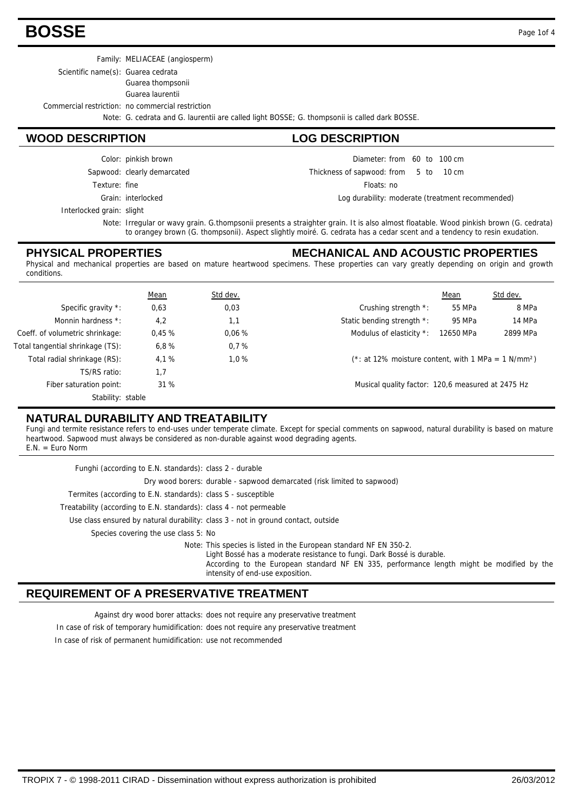### **BOSSE** Page 1of 4

Family: MELIACEAE (angiosperm)

Scientific name(s): Guarea cedrata

Guarea thompsonii

Guarea laurentii

Commercial restriction: no commercial restriction

Grain: interlocked

Sapwood: clearly demarcated Color: pinkish brown

Texture: fine

Note: G. cedrata and G. laurentii are called light BOSSE; G. thompsonii is called dark BOSSE.

#### **WOOD DESCRIPTION LOG DESCRIPTION**

Diameter: from 60 to 100 cm

5 10 Thickness of sapwood:  $10 \text{ cm}$ 

Floats: no

Log durability: moderate (treatment recommended)

Interlocked grain: slight

Note: Irregular or wavy grain. G.thompsonii presents a straighter grain. It is also almost floatable. Wood pinkish brown (G. cedrata) to orangey brown (G. thompsonii). Aspect slightly moiré. G. cedrata has a cedar scent and a tendency to resin exudation.

#### **PHYSICAL PROPERTIES**

**MECHANICAL AND ACOUSTIC PROPERTIES** Physical and mechanical properties are based on mature heartwood specimens. These properties can vary greatly depending on origin and growth

| conditions.                      |             |          |                                                                    |           |          |
|----------------------------------|-------------|----------|--------------------------------------------------------------------|-----------|----------|
|                                  | <b>Mean</b> | Std dev. |                                                                    | Mean      | Std dev. |
| Specific gravity *:              | 0,63        | 0,03     | Crushing strength *:                                               | 55 MPa    | 8 MPa    |
| Monnin hardness *:               | 4,2         | 1,1      | Static bending strength *:                                         | 95 MPa    | 14 MPa   |
| Coeff. of volumetric shrinkage:  | 0.45%       | 0.06%    | Modulus of elasticity *:                                           | 12650 MPa | 2899 MPa |
| Total tangential shrinkage (TS): | 6,8%        | 0.7%     |                                                                    |           |          |
| Total radial shrinkage (RS):     | 4,1%        | 1.0%     | $(*: at 12\%$ moisture content, with 1 MPa = 1 N/mm <sup>2</sup> ) |           |          |
| TS/RS ratio:                     | 1,7         |          |                                                                    |           |          |
| Fiber saturation point:          | 31 %        |          | Musical quality factor: 120,6 measured at 2475 Hz                  |           |          |
| Stability: stable                |             |          |                                                                    |           |          |

#### **NATURAL DURABILITY AND TREATABILITY**

Fungi and termite resistance refers to end-uses under temperate climate. Except for special comments on sapwood, natural durability is based on mature heartwood. Sapwood must always be considered as non-durable against wood degrading agents.

 $E.N. = Euro Norm$ 

| Funghi (according to E.N. standards): class 2 - durable                                                                                                                                                                                                                       |
|-------------------------------------------------------------------------------------------------------------------------------------------------------------------------------------------------------------------------------------------------------------------------------|
| Dry wood borers: durable - sapwood demarcated (risk limited to sapwood)                                                                                                                                                                                                       |
| Termites (according to E.N. standards): class S - susceptible                                                                                                                                                                                                                 |
| Treatability (according to E.N. standards): class 4 - not permeable                                                                                                                                                                                                           |
| Use class ensured by natural durability: class 3 - not in ground contact, outside                                                                                                                                                                                             |
| Species covering the use class 5: No                                                                                                                                                                                                                                          |
| Note: This species is listed in the European standard NF EN 350-2.<br>Light Bossé has a moderate resistance to fungi. Dark Bossé is durable.<br>According to the European standard NF EN 335, performance length might be modified by the<br>intensity of end-use exposition. |

#### **REQUIREMENT OF A PRESERVATIVE TREATMENT**

Against dry wood borer attacks: does not require any preservative treatment

In case of risk of temporary humidification: does not require any preservative treatment

In case of risk of permanent humidification: use not recommended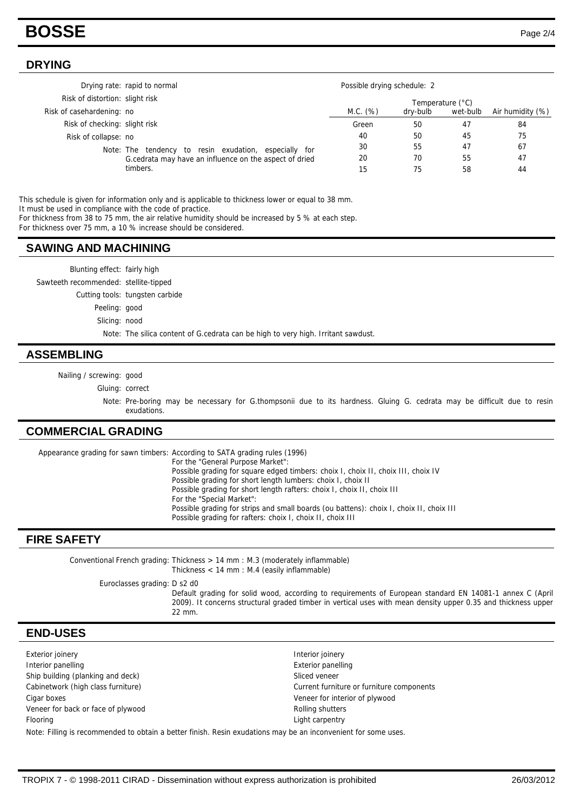### **BOSSE** Page 2/4

#### **DRYING**

|                               | Drying rate: rapid to normal                           | Possible drying schedule: 2 |                  |          |                  |  |
|-------------------------------|--------------------------------------------------------|-----------------------------|------------------|----------|------------------|--|
|                               | Risk of distortion: slight risk                        |                             | Temperature (°C) |          |                  |  |
| Risk of casehardening: no     |                                                        | M.C. (%)                    | dry-bulb         | wet-bulb | Air humidity (%) |  |
| Risk of checking: slight risk |                                                        | Green                       | 50               | 47       | 84               |  |
| Risk of collapse: no          |                                                        | 40                          | 50               | 45       | 75               |  |
|                               | Note: The tendency to resin exudation, especially for  | 30                          | 55               | 47       | 67               |  |
|                               | G.cedrata may have an influence on the aspect of dried | 20                          | 70               | 55       | 47               |  |
|                               | timbers.                                               | 15                          | 75               | 58       | 44               |  |

This schedule is given for information only and is applicable to thickness lower or equal to 38 mm.

It must be used in compliance with the code of practice.

For thickness from 38 to 75 mm, the air relative humidity should be increased by 5 % at each step.

For thickness over 75 mm, a 10 % increase should be considered.

#### **SAWING AND MACHINING**

Blunting effect: fairly high Sawteeth recommended: stellite-tipped Cutting tools: tungsten carbide Peeling: good Slicing: nood Note: The silica content of G.cedrata can be high to very high. Irritant sawdust.

#### **ASSEMBLING**

Nailing / screwing: good

Gluing: correct

Note: Pre-boring may be necessary for G.thompsonii due to its hardness. Gluing G. cedrata may be difficult due to resin exudations.

#### **COMMERCIAL GRADING**

Appearance grading for sawn timbers: According to SATA grading rules (1996) For the "General Purpose Market": Possible grading for square edged timbers: choix I, choix II, choix III, choix IV Possible grading for short length lumbers: choix I, choix II Possible grading for short length rafters: choix I, choix II, choix III For the "Special Market": Possible grading for strips and small boards (ou battens): choix I, choix II, choix III Possible grading for rafters: choix I, choix II, choix III

#### **FIRE SAFETY**

Conventional French grading: Thickness  $> 14$  mm : M.3 (moderately inflammable) Thickness < 14 mm : M.4 (easily inflammable)

Euroclasses grading: D s2 d0

Default grading for solid wood, according to requirements of European standard EN 14081-1 annex C (April 2009). It concerns structural graded timber in vertical uses with mean density upper 0.35 and thickness upper 22 mm.

### **END-USES**

Exterior joinery Interior joinery **Interior panelling Exterior panelling Exterior panelling** Ship building (planking and deck) Ship building (planking and deck) Sliced veneer Cabinetwork (high class furniture) Cabinetwork (high class furniture) Current furniture or furniture components Cigar boxes Veneer for interior of plywood Veneer for back or face of plywood **Rolling shutters** Rolling shutters Flooring **Light carpentry** Note: Filling is recommended to obtain a better finish. Resin exudations may be an inconvenient for some uses.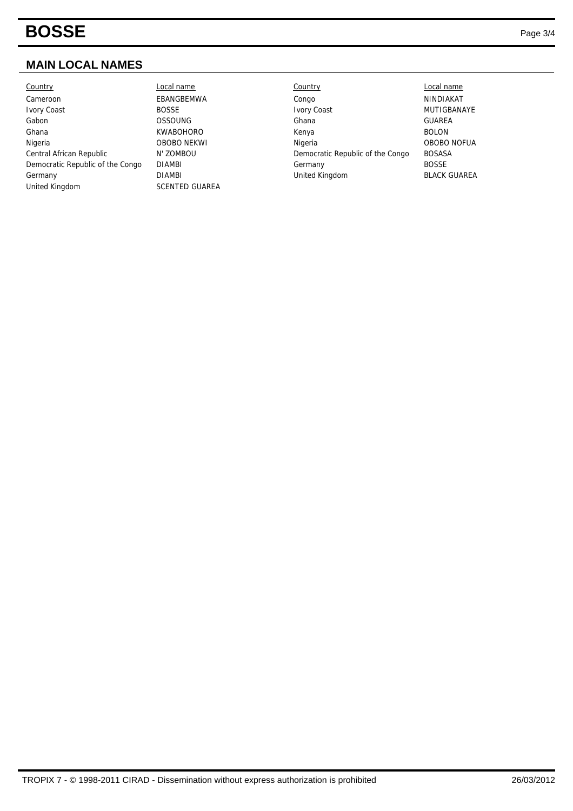## **BOSSE** Page 3/4

### **MAIN LOCAL NAMES**

| Country                          | ∟ocal name            | Country                          | Local name          |
|----------------------------------|-----------------------|----------------------------------|---------------------|
| Cameroon                         | EBANGBEMWA            | Congo                            | NINDIAKAT           |
| <b>Ivory Coast</b>               | <b>BOSSE</b>          | <b>Ivory Coast</b>               | <b>MUTIGBAN</b>     |
| Gabon                            | <b>OSSOUNG</b>        | Ghana                            | <b>GUAREA</b>       |
| Ghana                            | <b>KWABOHORO</b>      | Kenya                            | <b>BOLON</b>        |
| Nigeria                          | <b>OBOBO NEKWI</b>    | Nigeria                          | OBOBO <sub>NO</sub> |
| Central African Republic         | N' ZOMBOU             | Democratic Republic of the Congo | <b>BOSASA</b>       |
| Democratic Republic of the Congo | <b>DIAMBI</b>         | Germany                          | <b>BOSSE</b>        |
| Germany                          | <b>DIAMBI</b>         | United Kingdom                   | <b>BLACK GUA</b>    |
| United Kingdom                   | <b>SCENTED GUAREA</b> |                                  |                     |